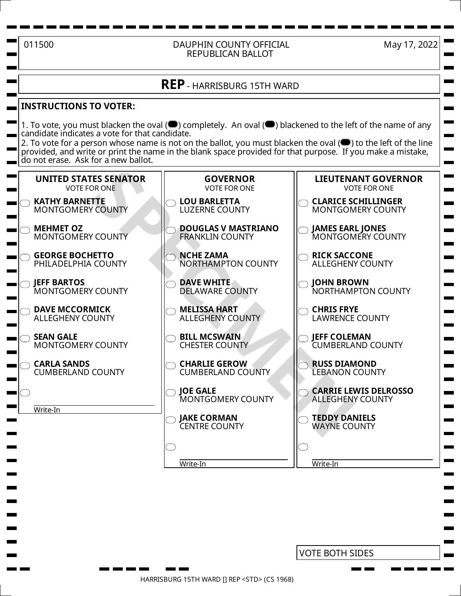## 011500 DAUPHIN COUNTY OFFICIAL REPUBLICAN BALLOT

May 17, 2022

## **REP**- HARRISBURG 15TH WARD

## **INSTRUCTIONS TO VOTER:**

1. To vote, you must blacken the oval ( $\blacksquare$ ) completely. An oval ( $\blacksquare$ ) blackened to the left of the name of any candidate indicates a vote for that candidate.

2. To vote for a person whose name is not on the ballot, you must blacken the oval  $($ **)** to the left of the line provided, and write or print the name in the blank space provided for that purpose. If you make a mistake, do not erase. Ask for a new ballot.